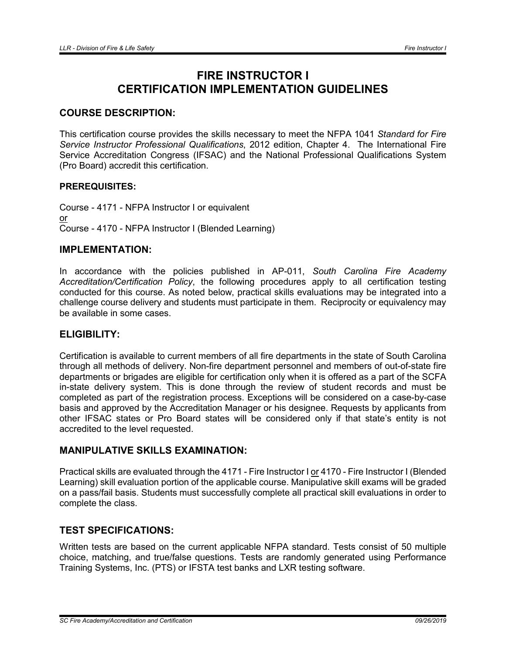# FIRE INSTRUCTOR I CERTIFICATION IMPLEMENTATION GUIDELINES

# COURSE DESCRIPTION:

This certification course provides the skills necessary to meet the NFPA 1041 *Standard for Fire Service Instructor Professional Qualifications*, 2012 edition, Chapter 4. The International Fire Service Accreditation Congress (IFSAC) and the National Professional Qualifications System (Pro Board) accredit this certification.

#### PREREQUISITES:

Course - 4171 - NFPA Instructor I or equivalent or Course - 4170 - NFPA Instructor I (Blended Learning)

#### IMPLEMENTATION:

In accordance with the policies published in AP-011, *South Carolina Fire Academy Accreditation/Certification Policy*, the following procedures apply to all certification testing conducted for this course. As noted below, practical skills evaluations may be integrated into a challenge course delivery and students must participate in them. Reciprocity or equivalency may be available in some cases.

# ELIGIBILITY:

Certification is available to current members of all fire departments in the state of South Carolina through all methods of delivery. Non-fire department personnel and members of out-of-state fire departments or brigades are eligible for certification only when it is offered as a part of the SCFA in-state delivery system. This is done through the review of student records and must be completed as part of the registration process. Exceptions will be considered on a case-by-case basis and approved by the Accreditation Manager or his designee. Requests by applicants from other IFSAC states or Pro Board states will be considered only if that state's entity is not accredited to the level requested.

# MANIPULATIVE SKILLS EXAMINATION:

Practical skills are evaluated through the 4171 - Fire Instructor I or 4170 - Fire Instructor I (Blended Learning) skill evaluation portion of the applicable course. Manipulative skill exams will be graded on a pass/fail basis. Students must successfully complete all practical skill evaluations in order to complete the class.

# TEST SPECIFICATIONS:

Written tests are based on the current applicable NFPA standard. Tests consist of 50 multiple choice, matching, and true/false questions. Tests are randomly generated using Performance Training Systems, Inc. (PTS) or IFSTA test banks and LXR testing software.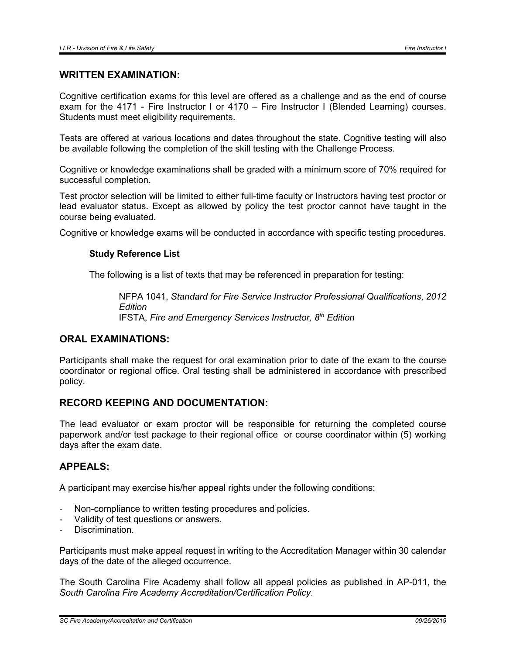#### WRITTEN EXAMINATION:

Cognitive certification exams for this level are offered as a challenge and as the end of course exam for the 4171 - Fire Instructor I or 4170 – Fire Instructor I (Blended Learning) courses. Students must meet eligibility requirements.

Tests are offered at various locations and dates throughout the state. Cognitive testing will also be available following the completion of the skill testing with the Challenge Process.

Cognitive or knowledge examinations shall be graded with a minimum score of 70% required for successful completion.

Test proctor selection will be limited to either full-time faculty or Instructors having test proctor or lead evaluator status. Except as allowed by policy the test proctor cannot have taught in the course being evaluated.

Cognitive or knowledge exams will be conducted in accordance with specific testing procedures.

#### Study Reference List

The following is a list of texts that may be referenced in preparation for testing:

NFPA 1041, *Standard for Fire Service Instructor Professional Qualifications*, *2012 Edition* IFSTA, *Fire and Emergency Services Instructor, 8th Edition*

# ORAL EXAMINATIONS:

Participants shall make the request for oral examination prior to date of the exam to the course coordinator or regional office. Oral testing shall be administered in accordance with prescribed policy.

# RECORD KEEPING AND DOCUMENTATION:

The lead evaluator or exam proctor will be responsible for returning the completed course paperwork and/or test package to their regional office or course coordinator within (5) working days after the exam date.

#### APPEALS:

A participant may exercise his/her appeal rights under the following conditions:

- Non-compliance to written testing procedures and policies.
- Validity of test questions or answers.
- Discrimination.

Participants must make appeal request in writing to the Accreditation Manager within 30 calendar days of the date of the alleged occurrence.

The South Carolina Fire Academy shall follow all appeal policies as published in AP-011, the *South Carolina Fire Academy Accreditation/Certification Policy*.

*SC Fire Academy/Accreditation and Certification 09/26/2019*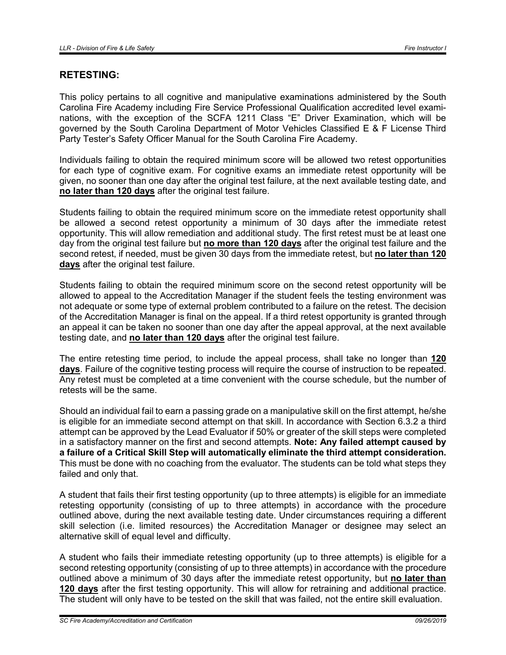### RETESTING:

This policy pertains to all cognitive and manipulative examinations administered by the South Carolina Fire Academy including Fire Service Professional Qualification accredited level examinations, with the exception of the SCFA 1211 Class "E" Driver Examination, which will be governed by the South Carolina Department of Motor Vehicles Classified E & F License Third Party Tester's Safety Officer Manual for the South Carolina Fire Academy.

Individuals failing to obtain the required minimum score will be allowed two retest opportunities for each type of cognitive exam. For cognitive exams an immediate retest opportunity will be given, no sooner than one day after the original test failure, at the next available testing date, and no later than 120 days after the original test failure.

Students failing to obtain the required minimum score on the immediate retest opportunity shall be allowed a second retest opportunity a minimum of 30 days after the immediate retest opportunity. This will allow remediation and additional study. The first retest must be at least one day from the original test failure but no more than 120 days after the original test failure and the second retest, if needed, must be given 30 days from the immediate retest, but no later than 120 days after the original test failure.

Students failing to obtain the required minimum score on the second retest opportunity will be allowed to appeal to the Accreditation Manager if the student feels the testing environment was not adequate or some type of external problem contributed to a failure on the retest. The decision of the Accreditation Manager is final on the appeal. If a third retest opportunity is granted through an appeal it can be taken no sooner than one day after the appeal approval, at the next available testing date, and no later than 120 days after the original test failure.

The entire retesting time period, to include the appeal process, shall take no longer than 120 days. Failure of the cognitive testing process will require the course of instruction to be repeated. Any retest must be completed at a time convenient with the course schedule, but the number of retests will be the same.

Should an individual fail to earn a passing grade on a manipulative skill on the first attempt, he/she is eligible for an immediate second attempt on that skill. In accordance with Section 6.3.2 a third attempt can be approved by the Lead Evaluator if 50% or greater of the skill steps were completed in a satisfactory manner on the first and second attempts. Note: Any failed attempt caused by a failure of a Critical Skill Step will automatically eliminate the third attempt consideration. This must be done with no coaching from the evaluator. The students can be told what steps they failed and only that.

A student that fails their first testing opportunity (up to three attempts) is eligible for an immediate retesting opportunity (consisting of up to three attempts) in accordance with the procedure outlined above, during the next available testing date. Under circumstances requiring a different skill selection (i.e. limited resources) the Accreditation Manager or designee may select an alternative skill of equal level and difficulty.

A student who fails their immediate retesting opportunity (up to three attempts) is eligible for a second retesting opportunity (consisting of up to three attempts) in accordance with the procedure outlined above a minimum of 30 days after the immediate retest opportunity, but no later than 120 days after the first testing opportunity. This will allow for retraining and additional practice. The student will only have to be tested on the skill that was failed, not the entire skill evaluation.